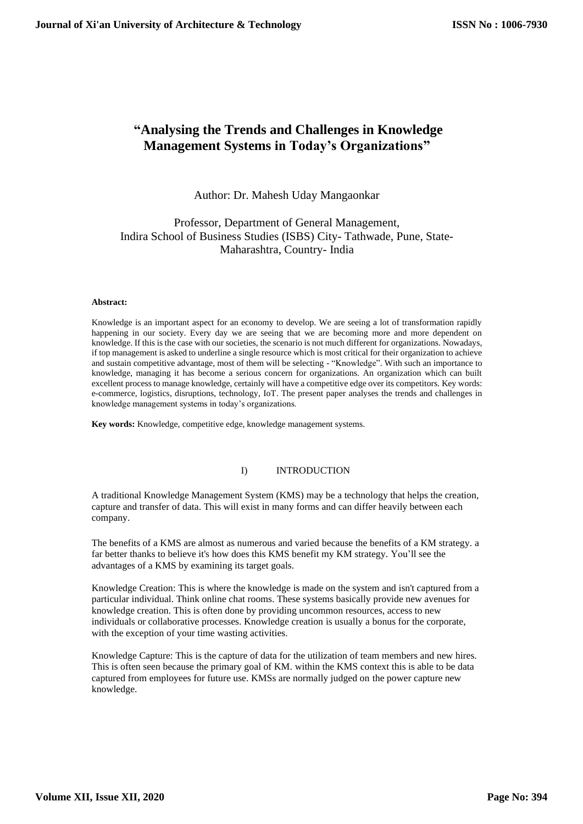# **"Analysing the Trends and Challenges in Knowledge Management Systems in Today's Organizations"**

## Author: Dr. Mahesh Uday Mangaonkar

## Professor, Department of General Management, Indira School of Business Studies (ISBS) City- Tathwade, Pune, State-Maharashtra, Country- India

#### **Abstract:**

Knowledge is an important aspect for an economy to develop. We are seeing a lot of transformation rapidly happening in our society. Every day we are seeing that we are becoming more and more dependent on knowledge. If this is the case with our societies, the scenario is not much different for organizations. Nowadays, if top management is asked to underline a single resource which is most critical for their organization to achieve and sustain competitive advantage, most of them will be selecting - "Knowledge". With such an importance to knowledge, managing it has become a serious concern for organizations. An organization which can built excellent process to manage knowledge, certainly will have a competitive edge over its competitors. Key words: e-commerce, logistics, disruptions, technology, IoT. The present paper analyses the trends and challenges in knowledge management systems in today's organizations.

**Key words:** Knowledge, competitive edge, knowledge management systems.

## I) INTRODUCTION

A traditional Knowledge Management System (KMS) may be a technology that helps the creation, capture and transfer of data. This will exist in many forms and can differ heavily between each company.

The benefits of a KMS are almost as numerous and varied because the benefits of a KM strategy. a far better thanks to believe it's how does this KMS benefit my KM strategy. You'll see the advantages of a KMS by examining its target goals.

Knowledge Creation: This is where the knowledge is made on the system and isn't captured from a particular individual. Think online chat rooms. These systems basically provide new avenues for knowledge creation. This is often done by providing uncommon resources, access to new individuals or collaborative processes. Knowledge creation is usually a bonus for the corporate, with the exception of your time wasting activities.

Knowledge Capture: This is the capture of data for the utilization of team members and new hires. This is often seen because the primary goal of KM. within the KMS context this is able to be data captured from employees for future use. KMSs are normally judged on the power capture new knowledge.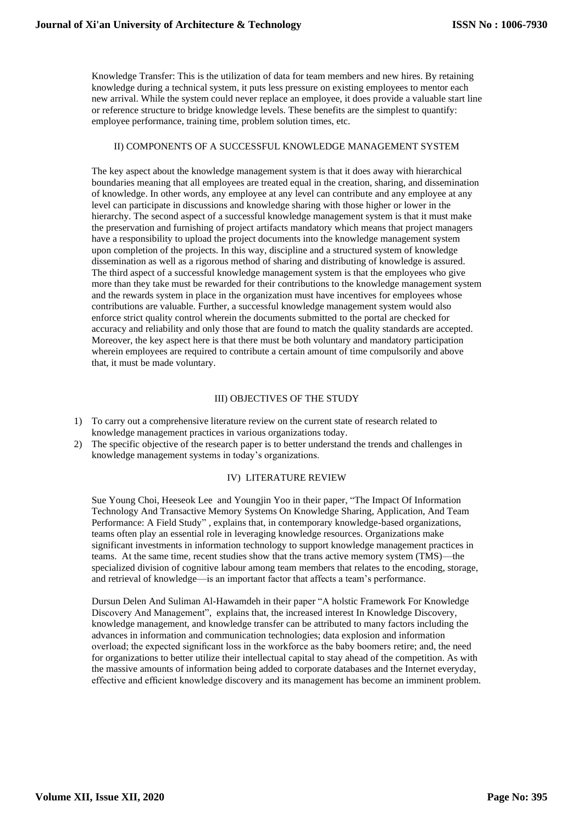Knowledge Transfer: This is the utilization of data for team members and new hires. By retaining knowledge during a technical system, it puts less pressure on existing employees to mentor each new arrival. While the system could never replace an employee, it does provide a valuable start line or reference structure to bridge knowledge levels. These benefits are the simplest to quantify: employee performance, training time, problem solution times, etc.

## II) COMPONENTS OF A SUCCESSFUL KNOWLEDGE MANAGEMENT SYSTEM

The key aspect about the knowledge management system is that it does away with hierarchical boundaries meaning that all employees are treated equal in the creation, sharing, and dissemination of knowledge. In other words, any employee at any level can contribute and any employee at any level can participate in discussions and knowledge sharing with those higher or lower in the hierarchy. The second aspect of a successful knowledge management system is that it must make the preservation and furnishing of project artifacts mandatory which means that project managers have a responsibility to upload the project documents into the knowledge management system upon completion of the projects. In this way, discipline and a structured system of knowledge dissemination as well as a rigorous method of sharing and distributing of knowledge is assured. The third aspect of a successful knowledge management system is that the employees who give more than they take must be rewarded for their contributions to the knowledge management system and the rewards system in place in the organization must have incentives for employees whose contributions are valuable. Further, a successful knowledge management system would also enforce strict quality control wherein the documents submitted to the portal are checked for accuracy and reliability and only those that are found to match the quality standards are accepted. Moreover, the key aspect here is that there must be both voluntary and mandatory participation wherein employees are required to contribute a certain amount of time compulsorily and above that, it must be made voluntary.

#### III) OBJECTIVES OF THE STUDY

- 1) To carry out a comprehensive literature review on the current state of research related to knowledge management practices in various organizations today.
- 2) The specific objective of the research paper is to better understand the trends and challenges in knowledge management systems in today's organizations.

#### IV) LITERATURE REVIEW

Sue Young Choi, Heeseok Lee and Youngjin Yoo in their paper, "The Impact Of Information Technology And Transactive Memory Systems On Knowledge Sharing, Application, And Team Performance: A Field Study" , explains that, in contemporary knowledge-based organizations, teams often play an essential role in leveraging knowledge resources. Organizations make significant investments in information technology to support knowledge management practices in teams. At the same time, recent studies show that the trans active memory system (TMS)—the specialized division of cognitive labour among team members that relates to the encoding, storage, and retrieval of knowledge—is an important factor that affects a team's performance.

Dursun Delen And Suliman Al-Hawamdeh in their paper "A holstic Framework For Knowledge Discovery And Management", explains that, the increased interest In Knowledge Discovery, knowledge management, and knowledge transfer can be attributed to many factors including the advances in information and communication technologies; data explosion and information overload; the expected significant loss in the workforce as the baby boomers retire; and, the need for organizations to better utilize their intellectual capital to stay ahead of the competition. As with the massive amounts of information being added to corporate databases and the Internet everyday, effective and efficient knowledge discovery and its management has become an imminent problem.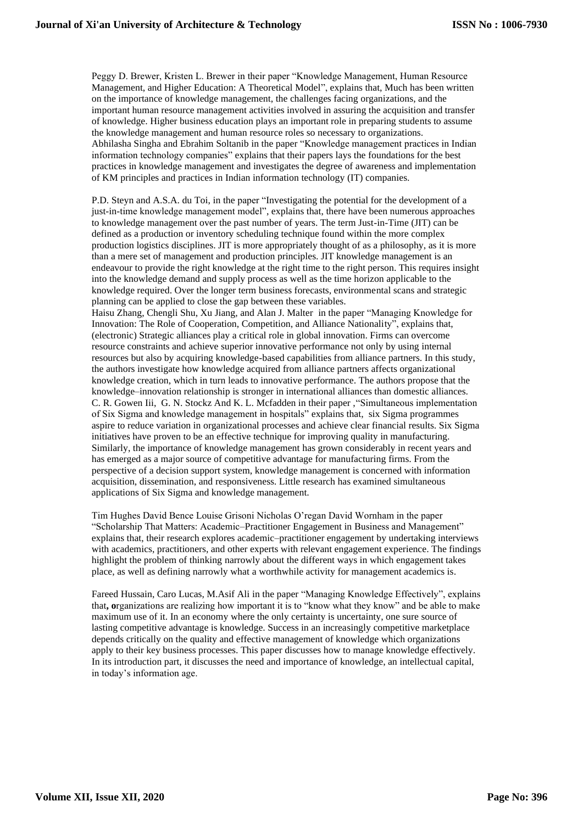Peggy D. Brewer, Kristen L. Brewer in their paper "Knowledge Management, Human Resource Management, and Higher Education: A Theoretical Model", explains that, Much has been written on the importance of knowledge management, the challenges facing organizations, and the important human resource management activities involved in assuring the acquisition and transfer of knowledge. Higher business education plays an important role in preparing students to assume the knowledge management and human resource roles so necessary to organizations. Abhilasha Singha and Ebrahim Soltanib in the paper "Knowledge management practices in Indian information technology companies" explains that their papers lays the foundations for the best practices in knowledge management and investigates the degree of awareness and implementation of KM principles and practices in Indian information technology (IT) companies.

P.D. Steyn and A.S.A. du Toi, in the paper "Investigating the potential for the development of a just-in-time knowledge management model", explains that, there have been numerous approaches to knowledge management over the past number of years. The term Just-in-Time (JIT) can be defined as a production or inventory scheduling technique found within the more complex production logistics disciplines. JIT is more appropriately thought of as a philosophy, as it is more than a mere set of management and production principles. JIT knowledge management is an endeavour to provide the right knowledge at the right time to the right person. This requires insight into the knowledge demand and supply process as well as the time horizon applicable to the knowledge required. Over the longer term business forecasts, environmental scans and strategic planning can be applied to close the gap between these variables.

Haisu Zhang, Chengli Shu, Xu Jiang, and Alan J. Malter in the paper "Managing Knowledge for Innovation: The Role of Cooperation, Competition, and Alliance Nationality", explains that, (electronic) Strategic alliances play a critical role in global innovation. Firms can overcome resource constraints and achieve superior innovative performance not only by using internal resources but also by acquiring knowledge-based capabilities from alliance partners. In this study, the authors investigate how knowledge acquired from alliance partners affects organizational knowledge creation, which in turn leads to innovative performance. The authors propose that the knowledge–innovation relationship is stronger in international alliances than domestic alliances. C. R. Gowen Iii, G. N. Stockz And K. L. Mcfadden in their paper ,"Simultaneous implementation of Six Sigma and knowledge management in hospitals" explains that, six Sigma programmes aspire to reduce variation in organizational processes and achieve clear financial results. Six Sigma initiatives have proven to be an effective technique for improving quality in manufacturing. Similarly, the importance of knowledge management has grown considerably in recent years and has emerged as a major source of competitive advantage for manufacturing firms. From the perspective of a decision support system, knowledge management is concerned with information acquisition, dissemination, and responsiveness. Little research has examined simultaneous applications of Six Sigma and knowledge management.

Tim Hughes David Bence Louise Grisoni Nicholas O'regan David Wornham in the paper "Scholarship That Matters: Academic–Practitioner Engagement in Business and Management" explains that, their research explores academic–practitioner engagement by undertaking interviews with academics, practitioners, and other experts with relevant engagement experience. The findings highlight the problem of thinking narrowly about the different ways in which engagement takes place, as well as defining narrowly what a worthwhile activity for management academics is.

Fareed Hussain, Caro Lucas, M.Asif Ali in the paper "Managing Knowledge Effectively", explains that**, o**rganizations are realizing how important it is to "know what they know" and be able to make maximum use of it. In an economy where the only certainty is uncertainty, one sure source of lasting competitive advantage is knowledge. Success in an increasingly competitive marketplace depends critically on the quality and effective management of knowledge which organizations apply to their key business processes. This paper discusses how to manage knowledge effectively. In its introduction part, it discusses the need and importance of knowledge, an intellectual capital, in today's information age.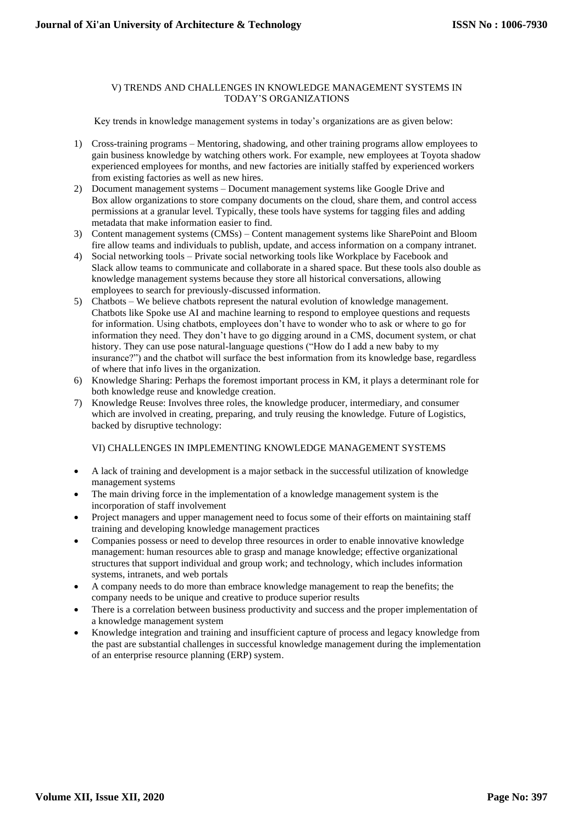## V) TRENDS AND CHALLENGES IN KNOWLEDGE MANAGEMENT SYSTEMS IN TODAY'S ORGANIZATIONS

Key trends in knowledge management systems in today's organizations are as given below:

- 1) Cross-training programs Mentoring, shadowing, and other training programs allow employees to gain business knowledge by watching others work. For example, [new employees at Toyota](https://www.askspoke.com/knowledge-management/small-business-knowledge-management/) shadow experienced employees for months, and new factories are initially staffed by experienced workers from existing factories as well as new hires.
- 2) Document management systems Document management systems like [Google Drive](https://www.google.com/drive/) and [Box](https://www.box.com/) allow organizations to store company documents on the cloud, share them, and control access permissions at a granular level. Typically, these tools have systems for tagging files and adding metadata that make information easier to find.
- 3) Content management systems (CMSs) Content management systems lik[e SharePoint](https://products.office.com/en-us/sharepoint/collaboration) and [Bloom](https://bloomfire.com/)  [fire](https://bloomfire.com/) allow teams and individuals to publish, update, and access information on a company intranet.
- 4) Social networking tools Private social networking tools lik[e Workplace by Facebook](https://www.facebook.com/workplace) and [Slack](https://slack.com/) allow teams to communicate and collaborate in a shared space. But these tools also double as knowledge management systems because they store all historical conversations, allowing employees to search for previously-discussed information.
- 5) Chatbots We believe chatbots represent the natural evolution of knowledge management. Chatbots like [Spoke](https://www.askspoke.com/) use AI and machine learning to respond to employee questions and requests for information. Using chatbots, employees don't have to wonder who to ask or where to go for information they need. They don't have to go digging around in a CMS, document system, or chat history. They can use pose natural-language questions ("How do I add a new baby to my insurance?") and the chatbot will surface the best information from its knowledge base, regardless of where that info lives in the organization.
- 6) Knowledge Sharing: Perhaps the foremost important process in KM, it plays a determinant role for both knowledge reuse and knowledge creation.
- 7) Knowledge Reuse: Involves three roles, the knowledge producer, intermediary, and consumer which are involved in creating, preparing, and truly reusing the knowledge. Future of Logistics, backed by disruptive technology:

## VI) CHALLENGES IN IMPLEMENTING KNOWLEDGE MANAGEMENT SYSTEMS

- A lack of training and development is a major setback in the successful utilization of knowledge management systems
- The main driving force in the implementation of a knowledge management system is the incorporation of staff involvement
- Project managers and upper management need to focus some of their efforts on maintaining staff training and developing knowledge management practices
- Companies possess or need to develop three resources in order to enable innovative knowledge management: human resources able to grasp and manage knowledge; effective organizational structures that support individual and group work; and technology, which includes information systems, intranets, and web portals
- A company needs to do more than embrace knowledge management to reap the benefits; the company needs to be unique and creative to produce superior results
- There is a correlation between business productivity and success and the proper implementation of a knowledge management system
- Knowledge integration and training and insufficient capture of process and legacy knowledge from the past are substantial challenges in successful knowledge management during the implementation of an enterprise resource planning (ERP) system.